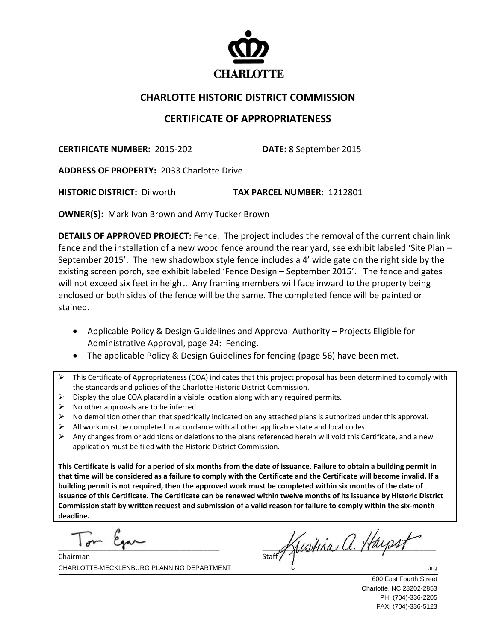

## **CHARLOTTE HISTORIC DISTRICT COMMISSION**

## **CERTIFICATE OF APPROPRIATENESS**

**CERTIFICATE NUMBER:** 2015‐202 **DATE:** 8 September 2015

**ADDRESS OF PROPERTY:** 2033 Charlotte Drive 

**HISTORIC DISTRICT:** Dilworth **TAX PARCEL NUMBER:** 1212801

**OWNER(S):** Mark Ivan Brown and Amy Tucker Brown

**DETAILS OF APPROVED PROJECT:** Fence. The project includes the removal of the current chain link fence and the installation of a new wood fence around the rear yard, see exhibit labeled 'Site Plan – September 2015'. The new shadowbox style fence includes a 4' wide gate on the right side by the existing screen porch, see exhibit labeled 'Fence Design – September 2015'. The fence and gates will not exceed six feet in height. Any framing members will face inward to the property being enclosed or both sides of the fence will be the same. The completed fence will be painted or stained.

- Applicable Policy & Design Guidelines and Approval Authority Projects Eligible for Administrative Approval, page 24: Fencing.
- The applicable Policy & Design Guidelines for fencing (page 56) have been met.
- $\triangleright$  This Certificate of Appropriateness (COA) indicates that this project proposal has been determined to comply with the standards and policies of the Charlotte Historic District Commission.
- $\triangleright$  Display the blue COA placard in a visible location along with any required permits.
- $\triangleright$  No other approvals are to be inferred.
- $\triangleright$  No demolition other than that specifically indicated on any attached plans is authorized under this approval.
- All work must be completed in accordance with all other applicable state and local codes.
- $\triangleright$  Any changes from or additions or deletions to the plans referenced herein will void this Certificate, and a new application must be filed with the Historic District Commission.

This Certificate is valid for a period of six months from the date of issuance. Failure to obtain a building permit in that time will be considered as a failure to comply with the Certificate and the Certificate will become invalid. If a building permit is not required, then the approved work must be completed within six months of the date of issuance of this Certificate. The Certificate can be renewed within twelve months of its issuance by Historic District Commission staff by written request and submission of a valid reason for failure to comply within the six-month **deadline.**

 $\overline{a}$  $T_{\text{max}}$   $\beta_{\text{max}}$ 

CHARLOTTE-MECKLENBURG PLANNING DEPARTMENT GERAL CHARLOTTE-MECKLENBURG PLANNING DEPARTMENT Chairman

 $\frac{1}{\text{Start}}$  Austria a Haysin

600 East Fourth Street Charlotte, NC 28202-2853 PH: (704)-336-2205 FAX: (704)-336-5123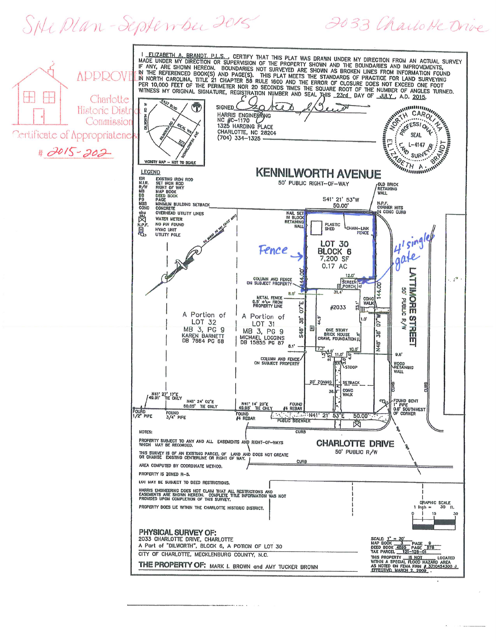SHe Plan-September 2015